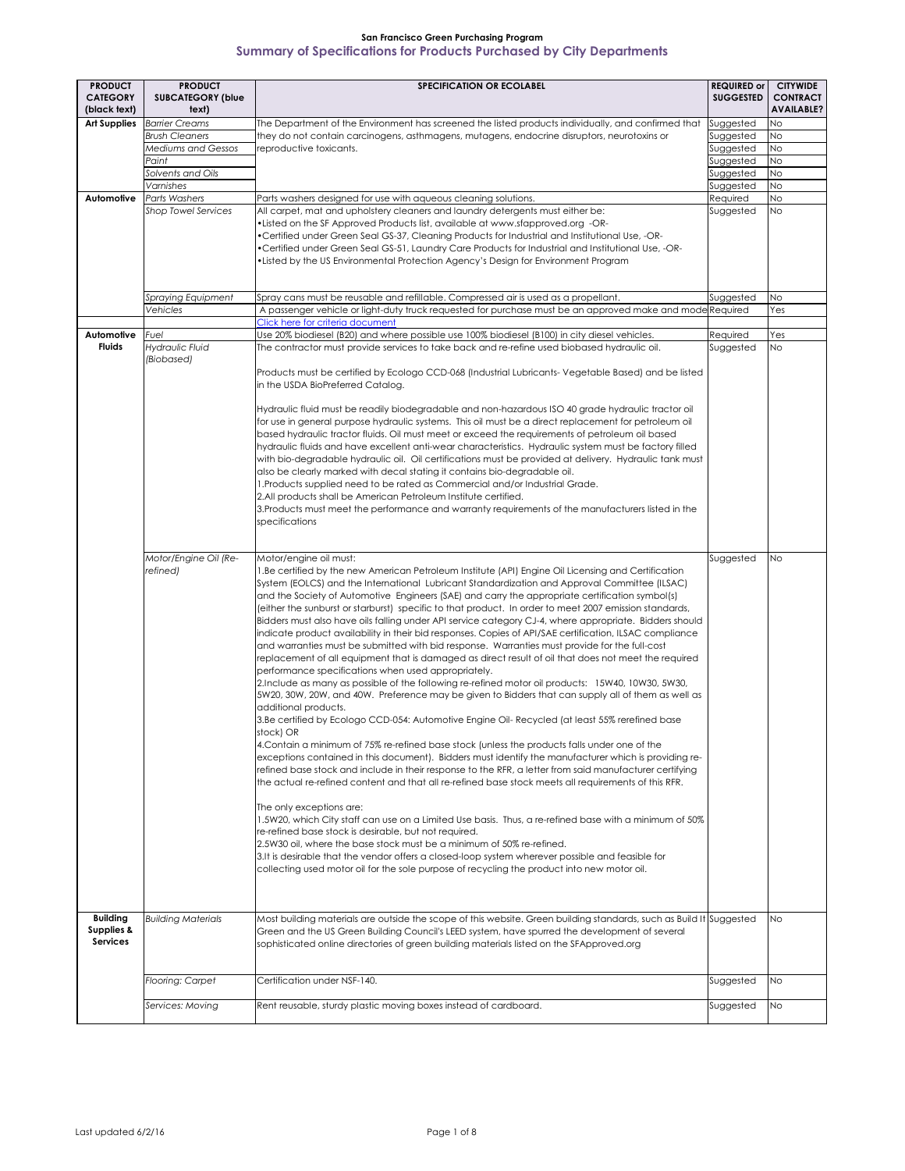| <b>PRODUCT</b>                                              | <b>PRODUCT</b>                                                    | <b>SPECIFICATION OR ECOLABEL</b>                                                                                                                                                                                                                                                                                                                                                                                                                                                                                                                                                                                                                                                                                                                                                                                                                                                                                                                                                                                                                                                                                                                                                                                                                                                                                                                                                                                                                                                                                                                                                                                                                                                                                                                                                                                                                                                                                                                                                                                                                                                                                                                                                             | <b>REQUIRED or</b>     | <b>CITYWIDE</b>                      |
|-------------------------------------------------------------|-------------------------------------------------------------------|----------------------------------------------------------------------------------------------------------------------------------------------------------------------------------------------------------------------------------------------------------------------------------------------------------------------------------------------------------------------------------------------------------------------------------------------------------------------------------------------------------------------------------------------------------------------------------------------------------------------------------------------------------------------------------------------------------------------------------------------------------------------------------------------------------------------------------------------------------------------------------------------------------------------------------------------------------------------------------------------------------------------------------------------------------------------------------------------------------------------------------------------------------------------------------------------------------------------------------------------------------------------------------------------------------------------------------------------------------------------------------------------------------------------------------------------------------------------------------------------------------------------------------------------------------------------------------------------------------------------------------------------------------------------------------------------------------------------------------------------------------------------------------------------------------------------------------------------------------------------------------------------------------------------------------------------------------------------------------------------------------------------------------------------------------------------------------------------------------------------------------------------------------------------------------------------|------------------------|--------------------------------------|
| <b>CATEGORY</b><br>(black text)                             | <b>SUBCATEGORY (blue</b><br>text)                                 |                                                                                                                                                                                                                                                                                                                                                                                                                                                                                                                                                                                                                                                                                                                                                                                                                                                                                                                                                                                                                                                                                                                                                                                                                                                                                                                                                                                                                                                                                                                                                                                                                                                                                                                                                                                                                                                                                                                                                                                                                                                                                                                                                                                              | SUGGESTED              | <b>CONTRACT</b><br><b>AVAILABLE?</b> |
| <b>Art Supplies</b>                                         | <b>Barrier Creams</b>                                             | The Department of the Environment has screened the listed products individually, and confirmed that                                                                                                                                                                                                                                                                                                                                                                                                                                                                                                                                                                                                                                                                                                                                                                                                                                                                                                                                                                                                                                                                                                                                                                                                                                                                                                                                                                                                                                                                                                                                                                                                                                                                                                                                                                                                                                                                                                                                                                                                                                                                                          | Suggested              | N <sub>o</sub>                       |
|                                                             | <b>Brush Cleaners</b>                                             | they do not contain carcinogens, asthmagens, mutagens, endocrine disruptors, neurotoxins or                                                                                                                                                                                                                                                                                                                                                                                                                                                                                                                                                                                                                                                                                                                                                                                                                                                                                                                                                                                                                                                                                                                                                                                                                                                                                                                                                                                                                                                                                                                                                                                                                                                                                                                                                                                                                                                                                                                                                                                                                                                                                                  | Suggested              | <b>No</b>                            |
|                                                             | <b>Mediums and Gessos</b>                                         | reproductive toxicants.                                                                                                                                                                                                                                                                                                                                                                                                                                                                                                                                                                                                                                                                                                                                                                                                                                                                                                                                                                                                                                                                                                                                                                                                                                                                                                                                                                                                                                                                                                                                                                                                                                                                                                                                                                                                                                                                                                                                                                                                                                                                                                                                                                      | Suggested              | N <sub>O</sub>                       |
|                                                             | Paint                                                             |                                                                                                                                                                                                                                                                                                                                                                                                                                                                                                                                                                                                                                                                                                                                                                                                                                                                                                                                                                                                                                                                                                                                                                                                                                                                                                                                                                                                                                                                                                                                                                                                                                                                                                                                                                                                                                                                                                                                                                                                                                                                                                                                                                                              | Suggested              | N <sub>o</sub>                       |
|                                                             | Solvents and Oils                                                 |                                                                                                                                                                                                                                                                                                                                                                                                                                                                                                                                                                                                                                                                                                                                                                                                                                                                                                                                                                                                                                                                                                                                                                                                                                                                                                                                                                                                                                                                                                                                                                                                                                                                                                                                                                                                                                                                                                                                                                                                                                                                                                                                                                                              | Suggested              | N <sub>o</sub>                       |
|                                                             | Varnishes                                                         |                                                                                                                                                                                                                                                                                                                                                                                                                                                                                                                                                                                                                                                                                                                                                                                                                                                                                                                                                                                                                                                                                                                                                                                                                                                                                                                                                                                                                                                                                                                                                                                                                                                                                                                                                                                                                                                                                                                                                                                                                                                                                                                                                                                              | Suggested              | <b>No</b>                            |
| Automotive                                                  | <b>Parts Washers</b>                                              | Parts washers designed for use with aqueous cleaning solutions.                                                                                                                                                                                                                                                                                                                                                                                                                                                                                                                                                                                                                                                                                                                                                                                                                                                                                                                                                                                                                                                                                                                                                                                                                                                                                                                                                                                                                                                                                                                                                                                                                                                                                                                                                                                                                                                                                                                                                                                                                                                                                                                              | Required               | N <sub>o</sub>                       |
|                                                             | <b>Shop Towel Services</b>                                        | All carpet, mat and upholstery cleaners and laundry detergents must either be:<br>•Listed on the SF Approved Products list, available at www.sfapproved.org -OR-<br>•Certified under Green Seal GS-37, Cleaning Products for Industrial and Institutional Use, -OR-<br>•Certified under Green Seal GS-51, Laundry Care Products for Industrial and Institutional Use, -OR-<br>• Listed by the US Environmental Protection Agency's Design for Environment Program                                                                                                                                                                                                                                                                                                                                                                                                                                                                                                                                                                                                                                                                                                                                                                                                                                                                                                                                                                                                                                                                                                                                                                                                                                                                                                                                                                                                                                                                                                                                                                                                                                                                                                                            | Suggested              | <b>INO</b>                           |
|                                                             | <b>Spraying Equipment</b>                                         | Spray cans must be reusable and refillable. Compressed air is used as a propellant.                                                                                                                                                                                                                                                                                                                                                                                                                                                                                                                                                                                                                                                                                                                                                                                                                                                                                                                                                                                                                                                                                                                                                                                                                                                                                                                                                                                                                                                                                                                                                                                                                                                                                                                                                                                                                                                                                                                                                                                                                                                                                                          | Suggested              | <b>No</b>                            |
|                                                             | Vehicles                                                          | A passenger vehicle or light-duty truck requested for purchase must be an approved make and mode Required                                                                                                                                                                                                                                                                                                                                                                                                                                                                                                                                                                                                                                                                                                                                                                                                                                                                                                                                                                                                                                                                                                                                                                                                                                                                                                                                                                                                                                                                                                                                                                                                                                                                                                                                                                                                                                                                                                                                                                                                                                                                                    |                        | Yes                                  |
|                                                             |                                                                   | Click here for criteria document                                                                                                                                                                                                                                                                                                                                                                                                                                                                                                                                                                                                                                                                                                                                                                                                                                                                                                                                                                                                                                                                                                                                                                                                                                                                                                                                                                                                                                                                                                                                                                                                                                                                                                                                                                                                                                                                                                                                                                                                                                                                                                                                                             |                        |                                      |
| <b>Automotive</b> Fuel                                      |                                                                   | Use 20% biodiesel (B20) and where possible use 100% biodiesel (B100) in city diesel vehicles.                                                                                                                                                                                                                                                                                                                                                                                                                                                                                                                                                                                                                                                                                                                                                                                                                                                                                                                                                                                                                                                                                                                                                                                                                                                                                                                                                                                                                                                                                                                                                                                                                                                                                                                                                                                                                                                                                                                                                                                                                                                                                                | Required               | Yes                                  |
| <b>Fluids</b>                                               | <b>Hydraulic Fluid</b><br>(Biobased)                              | The contractor must provide services to take back and re-refine used biobased hydraulic oil.                                                                                                                                                                                                                                                                                                                                                                                                                                                                                                                                                                                                                                                                                                                                                                                                                                                                                                                                                                                                                                                                                                                                                                                                                                                                                                                                                                                                                                                                                                                                                                                                                                                                                                                                                                                                                                                                                                                                                                                                                                                                                                 | Suggested              | N <sub>o</sub>                       |
|                                                             |                                                                   | Products must be certified by Ecologo CCD-068 (Industrial Lubricants-Vegetable Based) and be listed<br>in the USDA BioPreferred Catalog.<br>Hydraulic fluid must be readily biodegradable and non-hazardous ISO 40 grade hydraulic tractor oil<br>for use in general purpose hydraulic systems. This oil must be a direct replacement for petroleum oil<br>based hydraulic tractor fluids. Oil must meet or exceed the requirements of petroleum oil based<br>hydraulic fluids and have excellent anti-wear characteristics. Hydraulic system must be factory filled<br>with bio-degradable hydraulic oil. Oil certifications must be provided at delivery. Hydraulic tank must<br>also be clearly marked with decal stating it contains bio-degradable oil.<br>1. Products supplied need to be rated as Commercial and/or Industrial Grade.<br>2.All products shall be American Petroleum Institute certified.<br>3. Products must meet the performance and warranty requirements of the manufacturers listed in the<br>specifications                                                                                                                                                                                                                                                                                                                                                                                                                                                                                                                                                                                                                                                                                                                                                                                                                                                                                                                                                                                                                                                                                                                                                      |                        |                                      |
|                                                             | Motor/Engine Oil (Re-<br>refined)                                 | Motor/engine oil must:<br>1.Be certified by the new American Petroleum Institute (API) Engine Oil Licensing and Certification<br>System (EOLCS) and the International Lubricant Standardization and Approval Committee (ILSAC)<br>and the Society of Automotive Engineers (SAE) and carry the appropriate certification symbol(s)<br>(either the sunburst or starburst) specific to that product. In order to meet 2007 emission standards,<br>Bidders must also have oils falling under API service category CJ-4, where appropriate. Bidders should<br>indicate product availability in their bid responses. Copies of API/SAE certification, ILSAC compliance<br>and warranties must be submitted with bid response. Warranties must provide for the full-cost<br>replacement of all equipment that is damaged as direct result of oil that does not meet the required<br>performance specifications when used appropriately.<br>2. Include as many as possible of the following re-refined motor oil products: 15W40, 10W30, 5W30,<br>5W20, 30W, 20W, and 40W. Preference may be given to Bidders that can supply all of them as well as<br>additional products.<br>3.Be certified by Ecologo CCD-054: Automotive Engine Oil- Recycled (at least 55% rerefined base<br>stock) OR<br>4. Contain a minimum of 75% re-refined base stock (unless the products falls under one of the<br>exceptions contained in this document). Bidders must identify the manufacturer which is providing re-<br>refined base stock and include in their response to the RFR, a letter from said manufacturer certifying<br>the actual re-refined content and that all re-refined base stock meets all requirements of this RFR.<br>The only exceptions are:<br>1.5W20, which City staff can use on a Limited Use basis. Thus, a re-refined base with a minimum of 50%<br>re-refined base stock is desirable, but not required.<br>2.5W30 oil, where the base stock must be a minimum of 50% re-refined.<br>3.It is desirable that the vendor offers a closed-loop system wherever possible and feasible for<br>collecting used motor oil for the sole purpose of recycling the product into new motor oil. | Suggested              | <b>No</b>                            |
| <b>Building</b><br><b>Supplies &amp;</b><br><b>Services</b> | <b>Building Materials</b><br>Flooring: Carpet<br>Services: Moving | Most building materials are outside the scope of this website. Green building standards, such as Build It Suggested<br>Green and the US Green Building Council's LEED system, have spurred the development of several<br>sophisticated online directories of green building materials listed on the SFApproved.org<br>Certification under NSF-140.<br>Rent reusable, sturdy plastic moving boxes instead of cardboard.                                                                                                                                                                                                                                                                                                                                                                                                                                                                                                                                                                                                                                                                                                                                                                                                                                                                                                                                                                                                                                                                                                                                                                                                                                                                                                                                                                                                                                                                                                                                                                                                                                                                                                                                                                       | Suggested<br>Suggested | <b>No</b><br>No<br>No                |
|                                                             |                                                                   |                                                                                                                                                                                                                                                                                                                                                                                                                                                                                                                                                                                                                                                                                                                                                                                                                                                                                                                                                                                                                                                                                                                                                                                                                                                                                                                                                                                                                                                                                                                                                                                                                                                                                                                                                                                                                                                                                                                                                                                                                                                                                                                                                                                              |                        |                                      |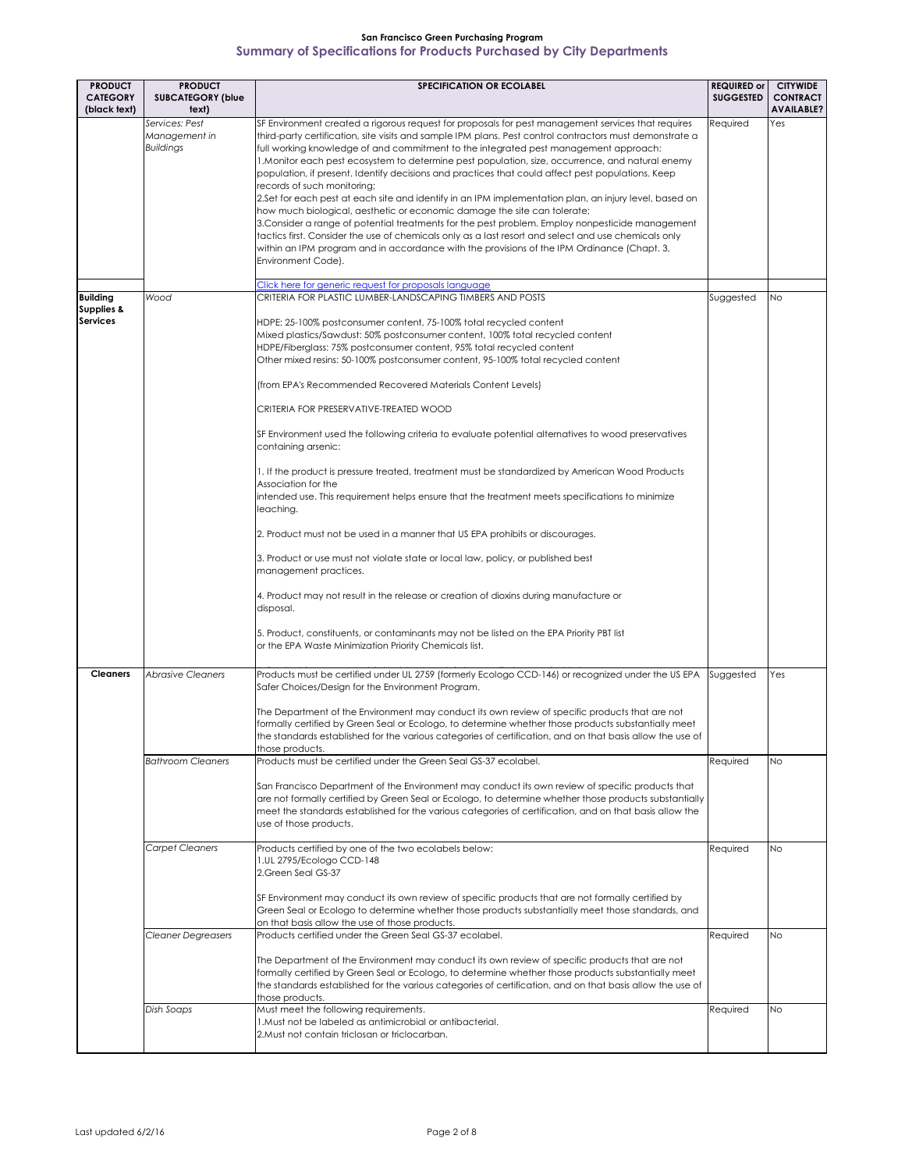| <b>PRODUCT</b>                           | <b>PRODUCT</b>                                      | <b>SPECIFICATION OR ECOLABEL</b>                                                                                                                                                                                                                                                                                                                                                                                                                                                                                                                                                                                                                                                                                                                                                                                                                                                                                                                                                                                                                                                                                                                                                                                                                            | <b>REQUIRED or</b> | <b>CITYWIDE</b>                      |
|------------------------------------------|-----------------------------------------------------|-------------------------------------------------------------------------------------------------------------------------------------------------------------------------------------------------------------------------------------------------------------------------------------------------------------------------------------------------------------------------------------------------------------------------------------------------------------------------------------------------------------------------------------------------------------------------------------------------------------------------------------------------------------------------------------------------------------------------------------------------------------------------------------------------------------------------------------------------------------------------------------------------------------------------------------------------------------------------------------------------------------------------------------------------------------------------------------------------------------------------------------------------------------------------------------------------------------------------------------------------------------|--------------------|--------------------------------------|
| <b>CATEGORY</b><br>(black text)          | <b>SUBCATEGORY (blue</b><br>text)                   |                                                                                                                                                                                                                                                                                                                                                                                                                                                                                                                                                                                                                                                                                                                                                                                                                                                                                                                                                                                                                                                                                                                                                                                                                                                             | <b>SUGGESTED</b>   | <b>CONTRACT</b><br><b>AVAILABLE?</b> |
|                                          | Services: Pest<br>Management in<br><b>Buildings</b> | SF Environment created a rigorous request for proposals for pest management services that requires<br>third-party certification, site visits and sample IPM plans. Pest control contractors must demonstrate a<br>full working knowledge of and commitment to the integrated pest management approach:<br>1. Monitor each pest ecosystem to determine pest population, size, occurrence, and natural enemy<br>population, if present. Identify decisions and practices that could affect pest populations. Keep<br>records of such monitoring;<br>2.Set for each pest at each site and identify in an IPM implementation plan, an injury level, based on<br>how much biological, aesthetic or economic damage the site can tolerate;<br>3. Consider a range of potential treatments for the pest problem. Employ nonpesticide management<br>tactics first. Consider the use of chemicals only as a last resort and select and use chemicals only<br>within an IPM program and in accordance with the provisions of the IPM Ordinance (Chapt. 3,<br>Environment Code).<br>Click here for generic request for proposals language                                                                                                                              | Required           | Yes                                  |
| <b>Building</b>                          | Wood                                                | CRITERIA FOR PLASTIC LUMBER-LANDSCAPING TIMBERS AND POSTS                                                                                                                                                                                                                                                                                                                                                                                                                                                                                                                                                                                                                                                                                                                                                                                                                                                                                                                                                                                                                                                                                                                                                                                                   | Suggested          | <b>No</b>                            |
| <b>Supplies &amp;</b><br><b>Services</b> |                                                     | HDPE: 25-100% postconsumer content, 75-100% total recycled content<br>Mixed plastics/Sawdust: 50% postconsumer content, 100% total recycled content<br>HDPE/Fiberglass: 75% postconsumer content, 95% total recycled content<br>Other mixed resins: 50-100% postconsumer content, 95-100% total recycled content<br>(from EPA's Recommended Recovered Materials Content Levels)<br>CRITERIA FOR PRESERVATIVE-TREATED WOOD<br>SF Environment used the following criteria to evaluate potential alternatives to wood preservatives<br>containing arsenic:<br>1. If the product is pressure treated, treatment must be standardized by American Wood Products<br>Association for the<br>intended use. This requirement helps ensure that the treatment meets specifications to minimize<br>leaching.<br>2. Product must not be used in a manner that US EPA prohibits or discourages.<br>3. Product or use must not violate state or local law, policy, or published best<br>management practices.<br>4. Product may not result in the release or creation of dioxins during manufacture or<br>disposal.<br>5. Product, constituents, or contaminants may not be listed on the EPA Priority PBT list<br>or the EPA Waste Minimization Priority Chemicals list. |                    |                                      |
| <b>Cleaners</b>                          | <b>Abrasive Cleaners</b>                            | Products must be certified under UL 2759 (formerly Ecologo CCD-146) or recognized under the US EPA<br>Safer Choices/Design for the Environment Program.<br>The Department of the Environment may conduct its own review of specific products that are not<br>formally certified by Green Seal or Ecologo, to determine whether those products substantially meet<br>the standards established for the various categories of certification, and on that basis allow the use of                                                                                                                                                                                                                                                                                                                                                                                                                                                                                                                                                                                                                                                                                                                                                                               | Suggested          | Yes                                  |
|                                          |                                                     | those products.                                                                                                                                                                                                                                                                                                                                                                                                                                                                                                                                                                                                                                                                                                                                                                                                                                                                                                                                                                                                                                                                                                                                                                                                                                             |                    |                                      |
|                                          | <b>Bathroom Cleaners</b>                            | Products must be certified under the Green Seal GS-37 ecolabel.<br>San Francisco Department of the Environment may conduct its own review of specific products that<br>are not formally certified by Green Seal or Ecologo, to determine whether those products substantially<br>meet the standards established for the various categories of certification, and on that basis allow the<br>use of those products.                                                                                                                                                                                                                                                                                                                                                                                                                                                                                                                                                                                                                                                                                                                                                                                                                                          | Required           | <b>No</b>                            |
|                                          | <b>Carpet Cleaners</b>                              | Products certified by one of the two ecolabels below:<br>1.UL 2795/Ecologo CCD-148<br>2.Green Seal GS-37<br>SF Environment may conduct its own review of specific products that are not formally certified by<br>Green Seal or Ecologo to determine whether those products substantially meet those standards, and<br>on that basis allow the use of those products.                                                                                                                                                                                                                                                                                                                                                                                                                                                                                                                                                                                                                                                                                                                                                                                                                                                                                        | Required           | <b>No</b>                            |
|                                          | <b>Cleaner Degreasers</b>                           | Products certified under the Green Seal GS-37 ecolabel.<br>The Department of the Environment may conduct its own review of specific products that are not<br>formally certified by Green Seal or Ecologo, to determine whether those products substantially meet<br>the standards established for the various categories of certification, and on that basis allow the use of<br>those products.                                                                                                                                                                                                                                                                                                                                                                                                                                                                                                                                                                                                                                                                                                                                                                                                                                                            | Required           | <b>No</b>                            |
|                                          | Dish Soaps                                          | Must meet the following requirements.<br>1. Must not be labeled as antimicrobial or antibacterial.<br>2. Must not contain triclosan or triclocarban.                                                                                                                                                                                                                                                                                                                                                                                                                                                                                                                                                                                                                                                                                                                                                                                                                                                                                                                                                                                                                                                                                                        | Required           | <b>No</b>                            |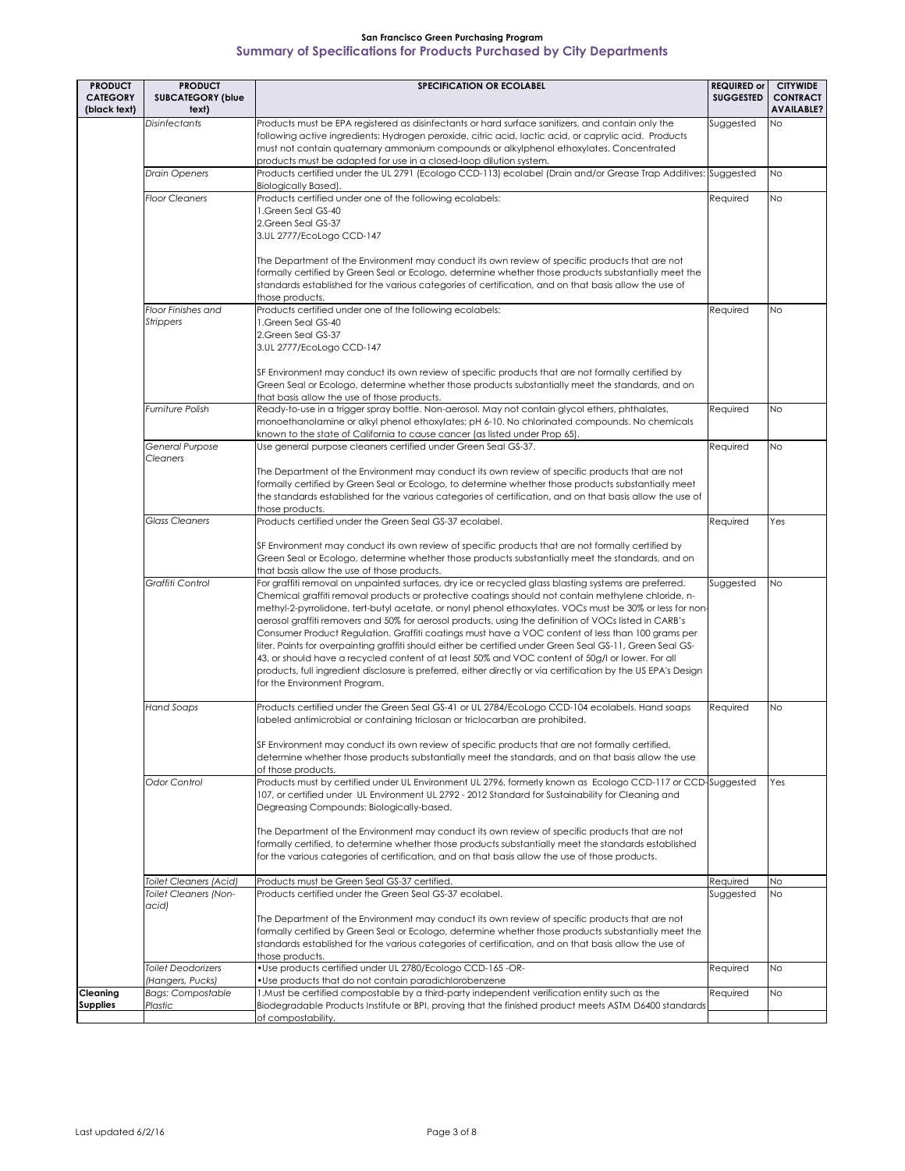| <b>PRODUCT</b>                     | <b>PRODUCT</b>                                                  | <b>SPECIFICATION OR ECOLABEL</b>                                                                                                                                                                                                                                                                                                                                                                                                                                                                                                                                                                                                                                                                                                                                                                                                                                                                          | <b>REQUIRED or</b>    | <b>CITYWIDE</b>                      |
|------------------------------------|-----------------------------------------------------------------|-----------------------------------------------------------------------------------------------------------------------------------------------------------------------------------------------------------------------------------------------------------------------------------------------------------------------------------------------------------------------------------------------------------------------------------------------------------------------------------------------------------------------------------------------------------------------------------------------------------------------------------------------------------------------------------------------------------------------------------------------------------------------------------------------------------------------------------------------------------------------------------------------------------|-----------------------|--------------------------------------|
| <b>CATEGORY</b><br>(black text)    | <b>SUBCATEGORY (blue</b><br>text)                               |                                                                                                                                                                                                                                                                                                                                                                                                                                                                                                                                                                                                                                                                                                                                                                                                                                                                                                           | <b>SUGGESTED</b>      | <b>CONTRACT</b><br><b>AVAILABLE?</b> |
|                                    | <b>Disinfectants</b>                                            | Products must be EPA registered as disinfectants or hard surface sanitizers, and contain only the<br>following active ingredients: Hydrogen peroxide, citric acid, lactic acid, or caprylic acid. Products<br>must not contain quaternary ammonium compounds or alkylphenol ethoxylates. Concentrated<br>products must be adapted for use in a closed-loop dilution system.                                                                                                                                                                                                                                                                                                                                                                                                                                                                                                                               | Suggested             | <b>No</b>                            |
|                                    | <b>Drain Openers</b>                                            | Products certified under the UL 2791 (Ecologo CCD-113) ecolabel (Drain and/or Grease Trap Additives: Suggested<br><b>Biologically Based).</b>                                                                                                                                                                                                                                                                                                                                                                                                                                                                                                                                                                                                                                                                                                                                                             |                       | <b>No</b>                            |
|                                    | <b>Floor Cleaners</b>                                           | Products certified under one of the following ecolabels:<br>1.Green Seal GS-40<br>2.Green Seal GS-37<br>3.UL 2777/EcoLogo CCD-147<br>The Department of the Environment may conduct its own review of specific products that are not<br>formally certified by Green Seal or Ecologo, determine whether those products substantially meet the                                                                                                                                                                                                                                                                                                                                                                                                                                                                                                                                                               | Required              | <b>No</b>                            |
|                                    |                                                                 | standards established for the various categories of certification, and on that basis allow the use of<br>those products.                                                                                                                                                                                                                                                                                                                                                                                                                                                                                                                                                                                                                                                                                                                                                                                  |                       |                                      |
|                                    | Floor Finishes and<br><b>Strippers</b>                          | Products certified under one of the following ecolabels:<br>1. Green Seal GS-40<br>2.Green Seal GS-37<br>3.UL 2777/EcoLogo CCD-147<br>SF Environment may conduct its own review of specific products that are not formally certified by<br>Green Seal or Ecologo, determine whether those products substantially meet the standards, and on                                                                                                                                                                                                                                                                                                                                                                                                                                                                                                                                                               | Required              | <b>No</b>                            |
|                                    | <b>Furniture Polish</b>                                         | that basis allow the use of those products.<br>Ready-to-use in a trigger spray bottle. Non-aerosol. May not contain glycol ethers, phthalates,                                                                                                                                                                                                                                                                                                                                                                                                                                                                                                                                                                                                                                                                                                                                                            | Required              | <b>No</b>                            |
|                                    |                                                                 | monoethanolamine or alkyl phenol ethoxylates; pH 6-10. No chlorinated compounds. No chemicals<br>known to the state of California to cause cancer (as listed under Prop 65).                                                                                                                                                                                                                                                                                                                                                                                                                                                                                                                                                                                                                                                                                                                              |                       |                                      |
|                                    | <b>General Purpose</b><br>Cleaners                              | Use general purpose cleaners certified under Green Seal GS-37.<br>The Department of the Environment may conduct its own review of specific products that are not<br>formally certified by Green Seal or Ecologo, to determine whether those products substantially meet<br>the standards established for the various categories of certification, and on that basis allow the use of<br>those products.                                                                                                                                                                                                                                                                                                                                                                                                                                                                                                   | Required              | <b>No</b>                            |
|                                    | <b>Glass Cleaners</b>                                           | Products certified under the Green Seal GS-37 ecolabel.<br>SF Environment may conduct its own review of specific products that are not formally certified by<br>Green Seal or Ecologo, determine whether those products substantially meet the standards, and on<br>that basis allow the use of those products.                                                                                                                                                                                                                                                                                                                                                                                                                                                                                                                                                                                           | Required              | Yes                                  |
|                                    | Graffiti Control                                                | For graffiti removal on unpainted surfaces, dry ice or recycled glass blasting systems are preferred.<br>Chemical graffiti removal products or protective coatings should not contain methylene chloride, n-<br>methyl-2-pyrrolidone, tert-butyl acetate, or nonyl phenol ethoxylates. VOCs must be 30% or less for non-<br>aerosol graffiti removers and 50% for aerosol products, using the definition of VOCs listed in CARB's<br>Consumer Product Regulation. Graffiti coatings must have a VOC content of less than 100 grams per<br>liter. Paints for overpainting graffiti should either be certified under Green Seal GS-11, Green Seal GS-<br>43, or should have a recycled content of at least 50% and VOC content of 50g/l or lower. For all<br>products, full ingredient disclosure is preferred, either directly or via certification by the US EPA's Design<br>for the Environment Program. | Suggested             | <b>No</b>                            |
|                                    | <b>Hand Soaps</b>                                               | Products certified under the Green Seal GS-41 or UL 2784/EcoLogo CCD-104 ecolabels. Hand soaps<br>labeled antimicrobial or containing triclosan or triclocarban are prohibited.<br>SF Environment may conduct its own review of specific products that are not formally certified,<br>determine whether those products substantially meet the standards, and on that basis allow the use                                                                                                                                                                                                                                                                                                                                                                                                                                                                                                                  | Required              | <b>No</b>                            |
|                                    | Odor Control                                                    | of those products.<br>Products must by certified under UL Environment UL 2796, formerly known as Ecologo CCD-117 or CCD-Suggested<br>107, or certified under UL Environment UL 2792 - 2012 Standard for Sustainability for Cleaning and<br>Degreasing Compounds: Biologically-based.<br>The Department of the Environment may conduct its own review of specific products that are not<br>formally certified, to determine whether those products substantially meet the standards established<br>for the various categories of certification, and on that basis allow the use of those products.                                                                                                                                                                                                                                                                                                         |                       | Yes                                  |
|                                    | <b>Toilet Cleaners (Acid)</b><br>Toilet Cleaners (Non-<br>acid) | Products must be Green Seal GS-37 certified.<br>Products certified under the Green Seal GS-37 ecolabel.<br>The Department of the Environment may conduct its own review of specific products that are not<br>formally certified by Green Seal or Ecologo, determine whether those products substantially meet the<br>standards established for the various categories of certification, and on that basis allow the use of<br>those products.                                                                                                                                                                                                                                                                                                                                                                                                                                                             | Required<br>Suggested | N <sub>O</sub><br><b>No</b>          |
|                                    | <b>Toilet Deodorizers</b><br>(Hangers, Pucks)                   | • Use products certified under UL 2780/Ecologo CCD-165-OR-<br>. Use products that do not contain paradichlorobenzene                                                                                                                                                                                                                                                                                                                                                                                                                                                                                                                                                                                                                                                                                                                                                                                      | Required              | <b>No</b>                            |
| <b>Cleaning</b><br><b>Supplies</b> | <b>Bags: Compostable</b><br>Plastic                             | 1. Must be certified compostable by a third-party independent verification entity such as the<br>Biodegradable Products Institute or BPI, proving that the finished product meets ASTM D6400 standards<br>of compostability.                                                                                                                                                                                                                                                                                                                                                                                                                                                                                                                                                                                                                                                                              | Required              | <b>No</b>                            |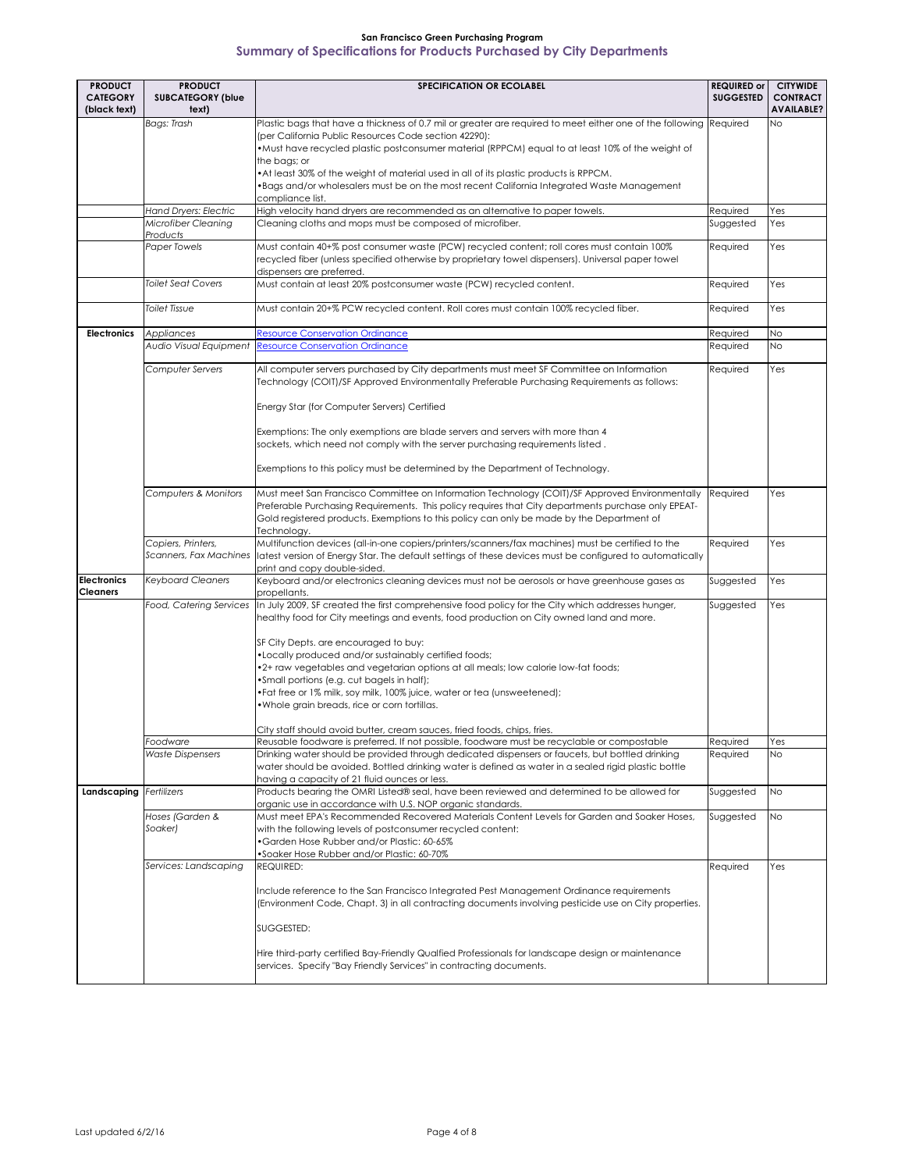| <b>PRODUCT</b>                        | <b>PRODUCT</b>                               | <b>SPECIFICATION OR ECOLABEL</b>                                                                                                                                                                                                                                                                                                                                                                                                                                                                                                                                                                                                                                    | <b>REQUIRED or</b> | <b>CITYWIDE</b>                      |
|---------------------------------------|----------------------------------------------|---------------------------------------------------------------------------------------------------------------------------------------------------------------------------------------------------------------------------------------------------------------------------------------------------------------------------------------------------------------------------------------------------------------------------------------------------------------------------------------------------------------------------------------------------------------------------------------------------------------------------------------------------------------------|--------------------|--------------------------------------|
| <b>CATEGORY</b><br>(black text)       | <b>SUBCATEGORY (blue</b><br>text)            |                                                                                                                                                                                                                                                                                                                                                                                                                                                                                                                                                                                                                                                                     | <b>SUGGESTED</b>   | <b>CONTRACT</b><br><b>AVAILABLE?</b> |
|                                       | <b>Bags: Trash</b>                           | Plastic bags that have a thickness of 0.7 mil or greater are required to meet either one of the following Required<br>(per California Public Resources Code section 42290):<br>• Must have recycled plastic postconsumer material (RPPCM) equal to at least 10% of the weight of<br>the bags; or<br>• At least 30% of the weight of material used in all of its plastic products is RPPCM.<br>•Bags and/or wholesalers must be on the most recent California Integrated Waste Management                                                                                                                                                                            |                    | <b>No</b>                            |
|                                       |                                              | compliance list.                                                                                                                                                                                                                                                                                                                                                                                                                                                                                                                                                                                                                                                    |                    |                                      |
|                                       | <b>Hand Dryers: Electric</b>                 | High velocity hand dryers are recommended as an alternative to paper towels.                                                                                                                                                                                                                                                                                                                                                                                                                                                                                                                                                                                        | Required           | Yes                                  |
|                                       | Microfiber Cleaning<br>Products              | Cleaning cloths and mops must be composed of microfiber.                                                                                                                                                                                                                                                                                                                                                                                                                                                                                                                                                                                                            | Suggested          | Yes                                  |
|                                       | Paper Towels                                 | Must contain 40+% post consumer waste (PCW) recycled content; roll cores must contain 100%<br>recycled fiber (unless specified otherwise by proprietary towel dispensers). Universal paper towel<br>dispensers are preferred.                                                                                                                                                                                                                                                                                                                                                                                                                                       | Required           | Yes                                  |
|                                       | <b>Toilet Seat Covers</b>                    | Must contain at least 20% postconsumer waste (PCW) recycled content.                                                                                                                                                                                                                                                                                                                                                                                                                                                                                                                                                                                                | Required           | Yes                                  |
|                                       | <b>Toilet Tissue</b>                         | Must contain 20+% PCW recycled content. Roll cores must contain 100% recycled fiber.                                                                                                                                                                                                                                                                                                                                                                                                                                                                                                                                                                                | Required           | Yes                                  |
| <b>Electronics</b>                    | Appliances                                   | <b>Resource Conservation Ordinance</b>                                                                                                                                                                                                                                                                                                                                                                                                                                                                                                                                                                                                                              | Required           | <b>No</b>                            |
|                                       | Audio Visual Equipment                       | <b>Resource Conservation Ordinance</b>                                                                                                                                                                                                                                                                                                                                                                                                                                                                                                                                                                                                                              | Required           | No                                   |
|                                       | Computer Servers                             | All computer servers purchased by City departments must meet SF Committee on Information<br>Technology (COIT)/SF Approved Environmentally Preferable Purchasing Requirements as follows:                                                                                                                                                                                                                                                                                                                                                                                                                                                                            | Required           | Yes                                  |
|                                       |                                              | Energy Star (for Computer Servers) Certified                                                                                                                                                                                                                                                                                                                                                                                                                                                                                                                                                                                                                        |                    |                                      |
|                                       |                                              | Exemptions: The only exemptions are blade servers and servers with more than 4<br>sockets, which need not comply with the server purchasing requirements listed.                                                                                                                                                                                                                                                                                                                                                                                                                                                                                                    |                    |                                      |
|                                       |                                              | Exemptions to this policy must be determined by the Department of Technology.                                                                                                                                                                                                                                                                                                                                                                                                                                                                                                                                                                                       |                    |                                      |
|                                       | Computers & Monitors                         | Must meet San Francisco Committee on Information Technology (COIT)/SF Approved Environmentally<br>Preferable Purchasing Requirements. This policy requires that City departments purchase only EPEAT-<br>Gold registered products. Exemptions to this policy can only be made by the Department of<br>Technology.                                                                                                                                                                                                                                                                                                                                                   | Required           | Yes                                  |
|                                       | Copiers, Printers,<br>Scanners, Fax Machines | Multifunction devices (all-in-one copiers/printers/scanners/fax machines) must be certified to the<br>latest version of Energy Star. The default settings of these devices must be configured to automatically<br>print and copy double-sided.                                                                                                                                                                                                                                                                                                                                                                                                                      | Required           | Yes                                  |
| <b>Electronics</b><br><b>Cleaners</b> | <b>Keyboard Cleaners</b>                     | Keyboard and/or electronics cleaning devices must not be aerosols or have greenhouse gases as<br>propellants.                                                                                                                                                                                                                                                                                                                                                                                                                                                                                                                                                       | Suggested          | Yes                                  |
|                                       |                                              | Food, Catering Services  In July 2009, SF created the first comprehensive food policy for the City which addresses hunger,<br>healthy food for City meetings and events, food production on City owned land and more.<br>SF City Depts. are encouraged to buy:<br>•Locally produced and/or sustainably certified foods;<br>•2+ raw vegetables and vegetarian options at all meals; low calorie low-fat foods;<br>.Small portions (e.g. cut bagels in half);<br>•Fat free or 1% milk, soy milk, 100% juice, water or tea (unsweetened);<br>. Whole grain breads, rice or corn tortillas.<br>City staff should avoid butter, cream sauces, fried foods, chips, fries. | Suggested          | Yes                                  |
|                                       | Foodware                                     | Reusable foodware is preferred. If not possible, foodware must be recyclable or compostable                                                                                                                                                                                                                                                                                                                                                                                                                                                                                                                                                                         | Required           | Yes                                  |
|                                       | <b>Waste Dispensers</b>                      | Drinking water should be provided through dedicated dispensers or faucets, but bottled drinking<br>water should be avoided. Bottled drinking water is defined as water in a sealed rigid plastic bottle<br>having a capacity of 21 fluid ounces or less.                                                                                                                                                                                                                                                                                                                                                                                                            | Required           | <b>No</b>                            |
| Landscaping Fertilizers               |                                              | Products bearing the OMRI Listed® seal, have been reviewed and determined to be allowed for<br>organic use in accordance with U.S. NOP organic standards.                                                                                                                                                                                                                                                                                                                                                                                                                                                                                                           | Suggested          | <b>No</b>                            |
|                                       | Hoses (Garden &<br>Soaker)                   | Must meet EPA's Recommended Recovered Materials Content Levels for Garden and Soaker Hoses.<br>with the following levels of postconsumer recycled content:<br>•Garden Hose Rubber and/or Plastic: 60-65%<br>•Soaker Hose Rubber and/or Plastic: 60-70%                                                                                                                                                                                                                                                                                                                                                                                                              | Suggested          | <b>No</b>                            |
|                                       | Services: Landscaping                        | REQUIRED:<br>Include reference to the San Francisco Integrated Pest Management Ordinance requirements<br>(Environment Code, Chapt. 3) in all contracting documents involving pesticide use on City properties.<br>SUGGESTED:                                                                                                                                                                                                                                                                                                                                                                                                                                        | Required           | Yes                                  |
|                                       |                                              | Hire third-party certified Bay-Friendly Qualfied Professionals for landscape design or maintenance<br>services. Specify "Bay Friendly Services" in contracting documents.                                                                                                                                                                                                                                                                                                                                                                                                                                                                                           |                    |                                      |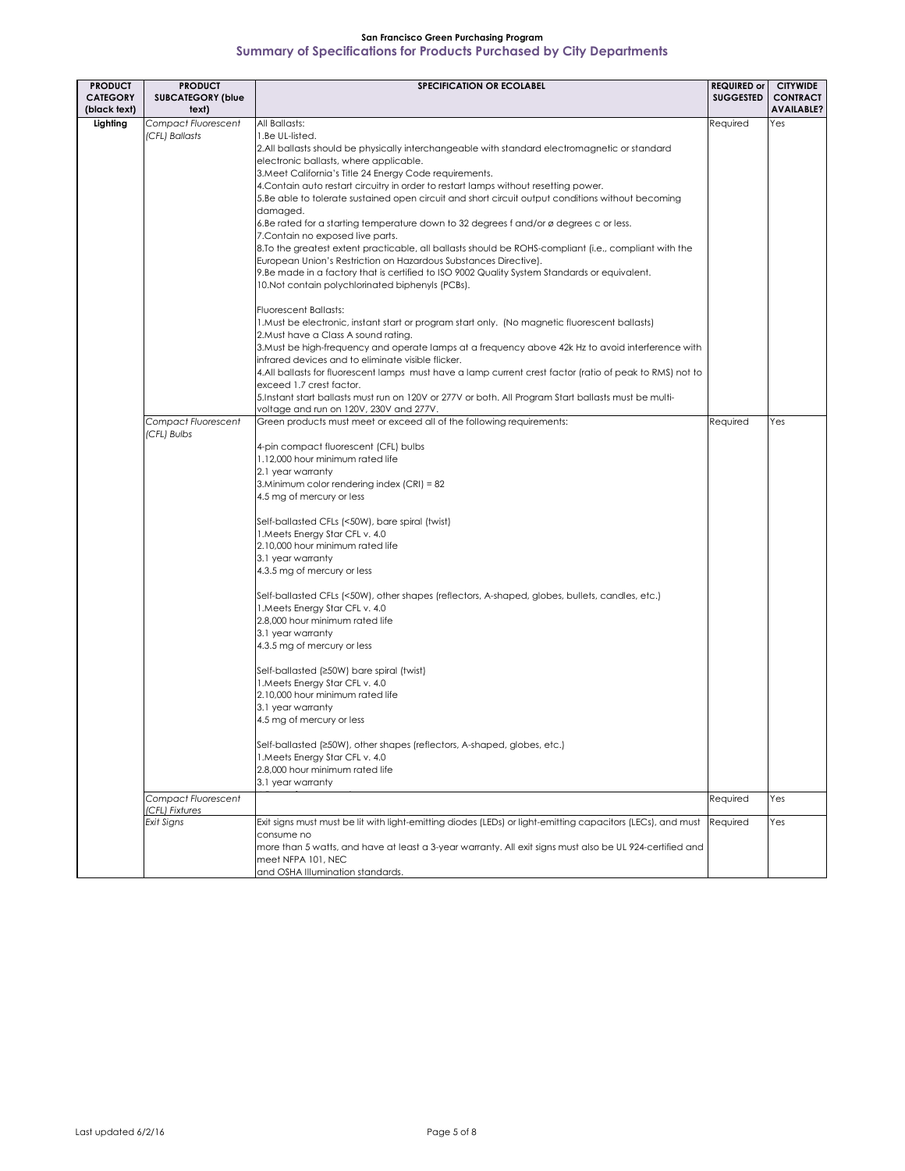| <b>PRODUCT</b>                  | <b>PRODUCT</b>                        | <b>SPECIFICATION OR ECOLABEL</b>                                                                                                                               | <b>REQUIRED or</b> | <b>CITYWIDE</b>                      |
|---------------------------------|---------------------------------------|----------------------------------------------------------------------------------------------------------------------------------------------------------------|--------------------|--------------------------------------|
| <b>CATEGORY</b><br>(black text) | <b>SUBCATEGORY (blue</b><br>text)     |                                                                                                                                                                | <b>SUGGESTED</b>   | <b>CONTRACT</b><br><b>AVAILABLE?</b> |
| Lighting                        | <b>Compact Fluorescent</b>            | All Ballasts:                                                                                                                                                  | Required           | Yes                                  |
|                                 | (CFL) Ballasts                        | 1.Be UL-listed.                                                                                                                                                |                    |                                      |
|                                 |                                       | 2.All ballasts should be physically interchangeable with standard electromagnetic or standard                                                                  |                    |                                      |
|                                 |                                       | electronic ballasts, where applicable.                                                                                                                         |                    |                                      |
|                                 |                                       | 3. Meet California's Title 24 Energy Code requirements.                                                                                                        |                    |                                      |
|                                 |                                       | 4. Contain auto restart circuitry in order to restart lamps without resetting power.                                                                           |                    |                                      |
|                                 |                                       | 5.Be able to tolerate sustained open circuit and short circuit output conditions without becoming<br>damaged.                                                  |                    |                                      |
|                                 |                                       | 6.Be rated for a starting temperature down to 32 degrees f and/or ø degrees c or less.                                                                         |                    |                                      |
|                                 |                                       | 7. Contain no exposed live parts.                                                                                                                              |                    |                                      |
|                                 |                                       | 8.To the greatest extent practicable, all ballasts should be ROHS-compliant (i.e., compliant with the                                                          |                    |                                      |
|                                 |                                       | European Union's Restriction on Hazardous Substances Directive).                                                                                               |                    |                                      |
|                                 |                                       | 9.Be made in a factory that is certified to ISO 9002 Quality System Standards or equivalent.                                                                   |                    |                                      |
|                                 |                                       | 10.Not contain polychlorinated biphenyls (PCBs).                                                                                                               |                    |                                      |
|                                 |                                       | <b>Fluorescent Ballasts:</b>                                                                                                                                   |                    |                                      |
|                                 |                                       | 1. Must be electronic, instant start or program start only. (No magnetic fluorescent ballasts)                                                                 |                    |                                      |
|                                 |                                       | 2. Must have a Class A sound rating.                                                                                                                           |                    |                                      |
|                                 |                                       | 3. Must be high-frequency and operate lamps at a frequency above 42k Hz to avoid interference with                                                             |                    |                                      |
|                                 |                                       | infrared devices and to eliminate visible flicker.<br>4.All ballasts for fluorescent lamps must have a lamp current crest factor (ratio of peak to RMS) not to |                    |                                      |
|                                 |                                       | exceed 1.7 crest factor.                                                                                                                                       |                    |                                      |
|                                 |                                       | 5.Instant start ballasts must run on 120V or 277V or both. All Program Start ballasts must be multi-                                                           |                    |                                      |
|                                 |                                       | voltage and run on 120V, 230V and 277V.                                                                                                                        |                    |                                      |
|                                 | Compact Fluorescent                   | Green products must meet or exceed all of the following requirements:                                                                                          | Required           | Yes                                  |
|                                 | (CFL) Bulbs                           |                                                                                                                                                                |                    |                                      |
|                                 |                                       | 4-pin compact fluorescent (CFL) bulbs<br>1.12,000 hour minimum rated life                                                                                      |                    |                                      |
|                                 |                                       | 2.1 year warranty                                                                                                                                              |                    |                                      |
|                                 |                                       | 3. Minimum color rendering index $(CRI) = 82$                                                                                                                  |                    |                                      |
|                                 |                                       | 4.5 mg of mercury or less                                                                                                                                      |                    |                                      |
|                                 |                                       |                                                                                                                                                                |                    |                                      |
|                                 |                                       | Self-ballasted CFLs (<50W), bare spiral (twist)                                                                                                                |                    |                                      |
|                                 |                                       | 1. Meets Energy Star CFL v. 4.0                                                                                                                                |                    |                                      |
|                                 |                                       | 2.10,000 hour minimum rated life                                                                                                                               |                    |                                      |
|                                 |                                       | 3.1 year warranty<br>4.3.5 mg of mercury or less                                                                                                               |                    |                                      |
|                                 |                                       |                                                                                                                                                                |                    |                                      |
|                                 |                                       | Self-ballasted CFLs (<50W), other shapes (reflectors, A-shaped, globes, bullets, candles, etc.)                                                                |                    |                                      |
|                                 |                                       | 1. Meets Energy Star CFL v. 4.0                                                                                                                                |                    |                                      |
|                                 |                                       | 2.8,000 hour minimum rated life                                                                                                                                |                    |                                      |
|                                 |                                       | 3.1 year warranty                                                                                                                                              |                    |                                      |
|                                 |                                       | 4.3.5 mg of mercury or less                                                                                                                                    |                    |                                      |
|                                 |                                       | Self-ballasted (≥50W) bare spiral (twist)                                                                                                                      |                    |                                      |
|                                 |                                       | 1. Meets Energy Star CFL v. 4.0                                                                                                                                |                    |                                      |
|                                 |                                       | 2.10,000 hour minimum rated life                                                                                                                               |                    |                                      |
|                                 |                                       | 3.1 year warranty                                                                                                                                              |                    |                                      |
|                                 |                                       | 4.5 mg of mercury or less                                                                                                                                      |                    |                                      |
|                                 |                                       | Self-ballasted (≥50W), other shapes (reflectors, A-shaped, globes, etc.)                                                                                       |                    |                                      |
|                                 |                                       | 1. Meets Energy Star CFL v. 4.0                                                                                                                                |                    |                                      |
|                                 |                                       | 2.8,000 hour minimum rated life                                                                                                                                |                    |                                      |
|                                 |                                       | 3.1 year warranty                                                                                                                                              |                    |                                      |
|                                 | Compact Fluorescent<br>(CFL) Fixtures |                                                                                                                                                                | Required           | Yes                                  |
|                                 | Exit Signs                            | Exit signs must must be lit with light-emitting diodes (LEDs) or light-emitting capacitors (LECs), and must                                                    | Required           | Yes                                  |
|                                 |                                       | consume no                                                                                                                                                     |                    |                                      |
|                                 |                                       | more than 5 watts, and have at least a 3-year warranty. All exit signs must also be UL 924-certified and                                                       |                    |                                      |
|                                 |                                       | meet NFPA 101, NEC                                                                                                                                             |                    |                                      |
|                                 |                                       | and OSHA Illumination standards.                                                                                                                               |                    |                                      |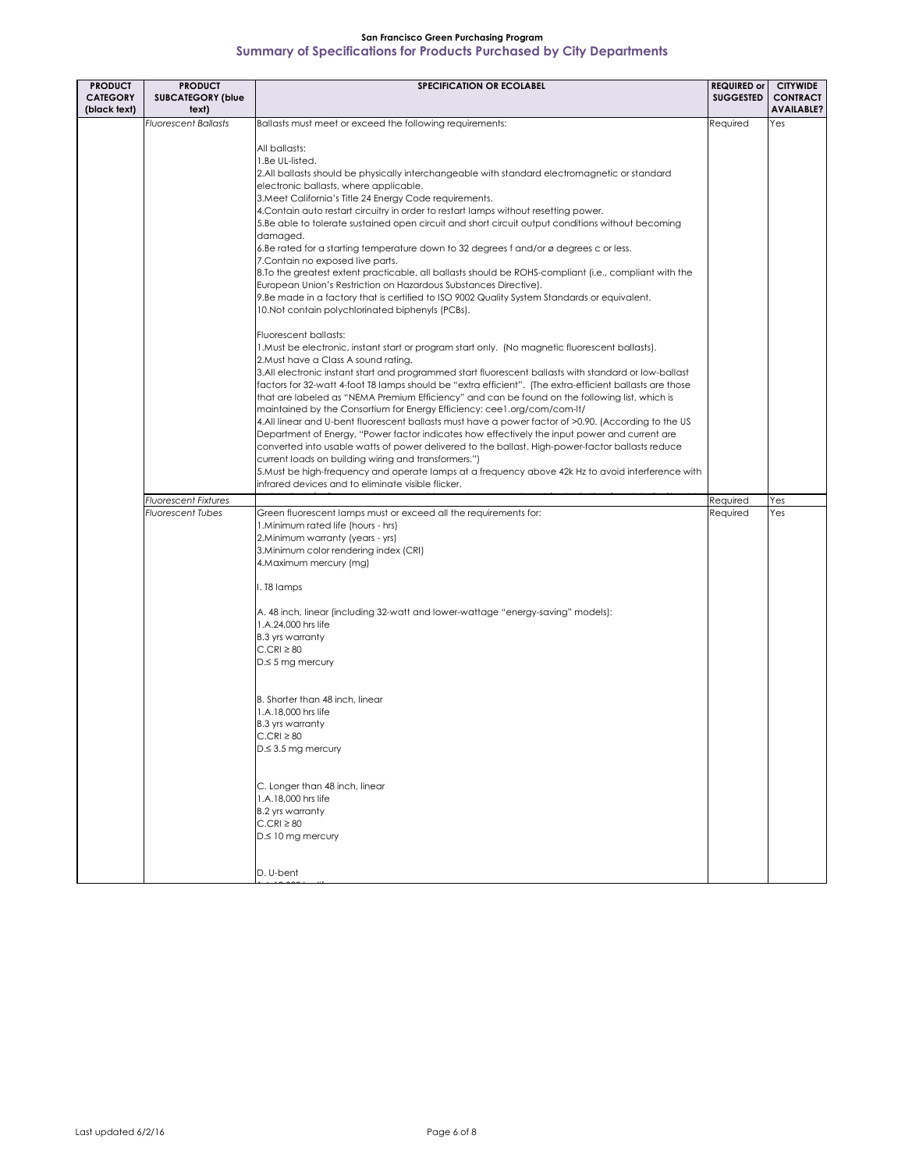| <b>PRODUCT</b><br><b>CATEGORY</b><br>(black text) | <b>PRODUCT</b><br><b>SUBCATEGORY (blue</b><br>text) | <b>SPECIFICATION OR ECOLABEL</b>                                                                                                                                                                                                                                                                                                                                                                                                                                                                                                                                                                                                                                                                                                                                                                                                                                                                                                                                                                                                                                                                                                                                                                                                                                                                                                                                                                                                                                                                                                                                                                                                                                                                                                                                                                                                                              | <b>REQUIRED or</b><br><b>SUGGESTED</b> | <b>CITYWIDE</b><br><b>CONTRACT</b><br><b>AVAILABLE?</b> |
|---------------------------------------------------|-----------------------------------------------------|---------------------------------------------------------------------------------------------------------------------------------------------------------------------------------------------------------------------------------------------------------------------------------------------------------------------------------------------------------------------------------------------------------------------------------------------------------------------------------------------------------------------------------------------------------------------------------------------------------------------------------------------------------------------------------------------------------------------------------------------------------------------------------------------------------------------------------------------------------------------------------------------------------------------------------------------------------------------------------------------------------------------------------------------------------------------------------------------------------------------------------------------------------------------------------------------------------------------------------------------------------------------------------------------------------------------------------------------------------------------------------------------------------------------------------------------------------------------------------------------------------------------------------------------------------------------------------------------------------------------------------------------------------------------------------------------------------------------------------------------------------------------------------------------------------------------------------------------------------------|----------------------------------------|---------------------------------------------------------|
|                                                   | <b>Fluorescent Ballasts</b>                         | Ballasts must meet or exceed the following requirements:                                                                                                                                                                                                                                                                                                                                                                                                                                                                                                                                                                                                                                                                                                                                                                                                                                                                                                                                                                                                                                                                                                                                                                                                                                                                                                                                                                                                                                                                                                                                                                                                                                                                                                                                                                                                      | Required                               | Yes                                                     |
|                                                   |                                                     | All ballasts:<br>1.Be UL-listed.<br>2.All ballasts should be physically interchangeable with standard electromagnetic or standard<br>electronic ballasts, where applicable.<br>3. Meet California's Title 24 Energy Code requirements.<br>4. Contain auto restart circuitry in order to restart lamps without resetting power.<br>5.Be able to tolerate sustained open circuit and short circuit output conditions without becoming<br>damaged.<br>6.Be rated for a starting temperature down to 32 degrees f and/or ø degrees c or less.<br>7. Contain no exposed live parts.<br>8. To the greatest extent practicable, all ballasts should be ROHS-compliant (i.e., compliant with the<br>European Union's Restriction on Hazardous Substances Directive).<br>9.Be made in a factory that is certified to ISO 9002 Quality System Standards or equivalent.<br>10. Not contain polychlorinated biphenyls (PCBs).<br>Fluorescent ballasts:<br>1. Must be electronic, instant start or program start only. (No magnetic fluorescent ballasts).<br>2. Must have a Class A sound rating.<br>3.All electronic instant start and programmed start fluorescent ballasts with standard or low-ballast<br>factors for 32-watt 4-foot T8 lamps should be "extra efficient". (The extra-efficient ballasts are those<br>that are labeled as "NEMA Premium Efficiency" and can be found on the following list, which is<br>maintained by the Consortium for Energy Efficiency: cee1.org/com/com-lt/<br>4.All linear and U-bent fluorescent ballasts must have a power factor of >0.90. (According to the US<br>Department of Energy, "Power factor indicates how effectively the input power and current are<br>converted into usable watts of power delivered to the ballast. High-power-factor ballasts reduce<br>current loads on building wiring and transformers.") |                                        |                                                         |
|                                                   |                                                     | 5. Must be high-frequency and operate lamps at a frequency above 42k Hz to avoid interference with                                                                                                                                                                                                                                                                                                                                                                                                                                                                                                                                                                                                                                                                                                                                                                                                                                                                                                                                                                                                                                                                                                                                                                                                                                                                                                                                                                                                                                                                                                                                                                                                                                                                                                                                                            |                                        |                                                         |
|                                                   |                                                     | infrared devices and to eliminate visible flicker.                                                                                                                                                                                                                                                                                                                                                                                                                                                                                                                                                                                                                                                                                                                                                                                                                                                                                                                                                                                                                                                                                                                                                                                                                                                                                                                                                                                                                                                                                                                                                                                                                                                                                                                                                                                                            |                                        |                                                         |
|                                                   | <b>Fluorescent Fixtures</b>                         |                                                                                                                                                                                                                                                                                                                                                                                                                                                                                                                                                                                                                                                                                                                                                                                                                                                                                                                                                                                                                                                                                                                                                                                                                                                                                                                                                                                                                                                                                                                                                                                                                                                                                                                                                                                                                                                               | Required                               | Yes                                                     |
|                                                   | <b>Fluorescent Tubes</b>                            | Green fluorescent lamps must or exceed all the requirements for:<br>1. Minimum rated life (hours - hrs)<br>2. Minimum warranty (years - yrs)<br>3. Minimum color rendering index (CRI)<br>4. Maximum mercury (mg)<br>I. T8 lamps<br>A. 48 inch, linear (including 32-watt and lower-wattage "energy-saving" models):<br>1.A.24,000 hrs life<br><b>B.3</b> yrs warranty<br>$C.CRI \geq 80$<br>$D \leq 5$ mg mercury<br>B. Shorter than 48 inch, linear<br>1.A.18,000 hrs life<br><b>B.3</b> yrs warranty<br>$C.CRI \geq 80$<br>$D \leq 3.5$ mg mercury<br>C. Longer than 48 inch, linear<br>1.A.18,000 hrs life<br><b>B.2</b> yrs warranty<br>$C.CRI \geq 80$<br>D.≤ 10 mg mercury                                                                                                                                                                                                                                                                                                                                                                                                                                                                                                                                                                                                                                                                                                                                                                                                                                                                                                                                                                                                                                                                                                                                                                             | Required                               | Yes                                                     |
|                                                   |                                                     | D. U-bent                                                                                                                                                                                                                                                                                                                                                                                                                                                                                                                                                                                                                                                                                                                                                                                                                                                                                                                                                                                                                                                                                                                                                                                                                                                                                                                                                                                                                                                                                                                                                                                                                                                                                                                                                                                                                                                     |                                        |                                                         |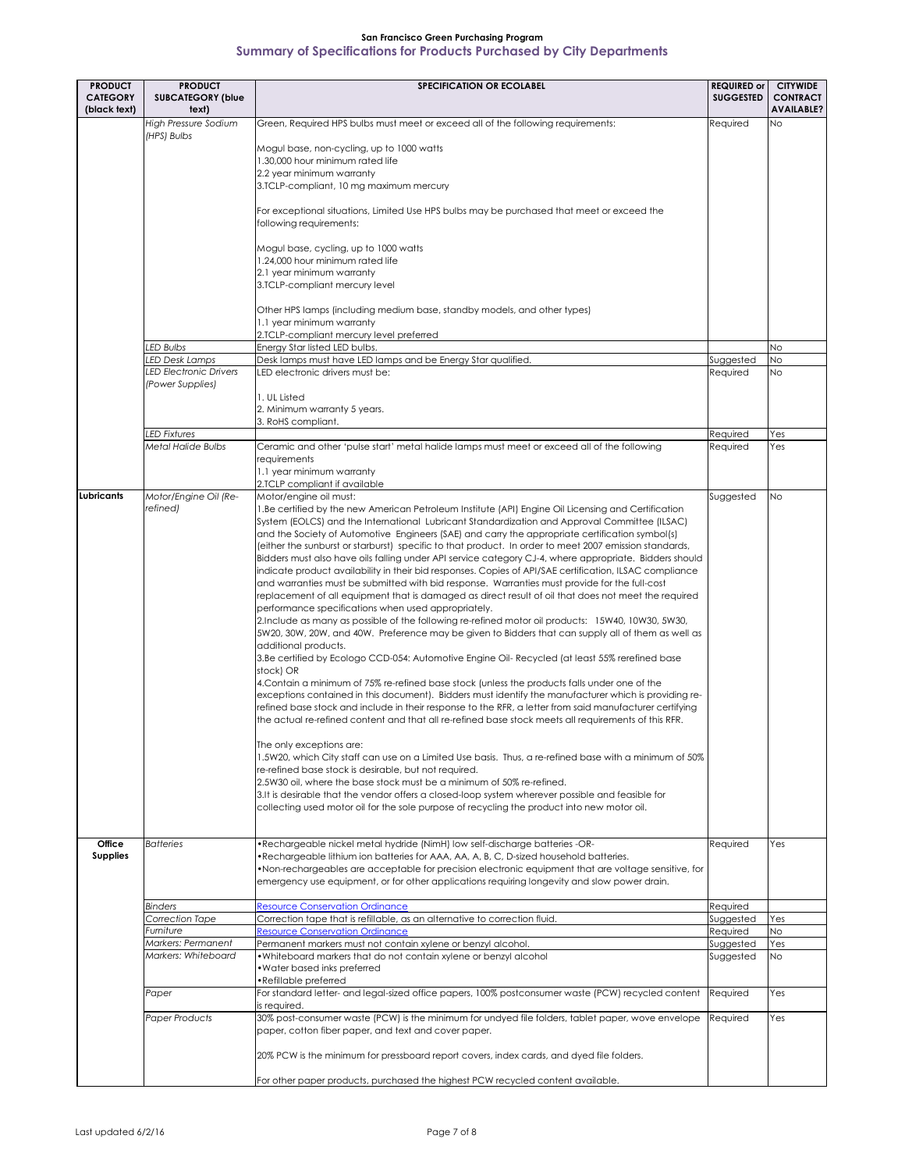| <b>PRODUCT</b><br><b>CATEGORY</b> | <b>PRODUCT</b><br><b>SUBCATEGORY (blue</b>        | <b>SPECIFICATION OR ECOLABEL</b>                                                                                                                                                                                                                                                                                                                                                                                                                                                                                                                                                                                                                                                                                                                                                                                                                                                                                                                                                                                                                                                                                                                                                                                                                                                                                                                                                                                                                                                                                                                                                                                                                                                                                                                                                                                                                                                                                                                                                                                                                                                                                                                                                             | <b>REQUIRED or</b><br><b>SUGGESTED</b> | <b>CITYWIDE</b><br><b>CONTRACT</b> |
|-----------------------------------|---------------------------------------------------|----------------------------------------------------------------------------------------------------------------------------------------------------------------------------------------------------------------------------------------------------------------------------------------------------------------------------------------------------------------------------------------------------------------------------------------------------------------------------------------------------------------------------------------------------------------------------------------------------------------------------------------------------------------------------------------------------------------------------------------------------------------------------------------------------------------------------------------------------------------------------------------------------------------------------------------------------------------------------------------------------------------------------------------------------------------------------------------------------------------------------------------------------------------------------------------------------------------------------------------------------------------------------------------------------------------------------------------------------------------------------------------------------------------------------------------------------------------------------------------------------------------------------------------------------------------------------------------------------------------------------------------------------------------------------------------------------------------------------------------------------------------------------------------------------------------------------------------------------------------------------------------------------------------------------------------------------------------------------------------------------------------------------------------------------------------------------------------------------------------------------------------------------------------------------------------------|----------------------------------------|------------------------------------|
| (black text)                      | text)                                             |                                                                                                                                                                                                                                                                                                                                                                                                                                                                                                                                                                                                                                                                                                                                                                                                                                                                                                                                                                                                                                                                                                                                                                                                                                                                                                                                                                                                                                                                                                                                                                                                                                                                                                                                                                                                                                                                                                                                                                                                                                                                                                                                                                                              |                                        | <b>AVAILABLE?</b>                  |
|                                   | <b>High Pressure Sodium</b><br>(HPS) Bulbs        | Green, Required HPS bulbs must meet or exceed all of the following requirements:<br>Mogul base, non-cycling, up to 1000 watts<br>1.30,000 hour minimum rated life<br>2.2 year minimum warranty<br>3.TCLP-compliant, 10 mg maximum mercury<br>For exceptional situations, Limited Use HPS bulbs may be purchased that meet or exceed the<br>following requirements:<br>Mogul base, cycling, up to 1000 watts<br>1.24,000 hour minimum rated life<br>2.1 year minimum warranty<br>3.TCLP-compliant mercury level<br>Other HPS lamps (including medium base, standby models, and other types)                                                                                                                                                                                                                                                                                                                                                                                                                                                                                                                                                                                                                                                                                                                                                                                                                                                                                                                                                                                                                                                                                                                                                                                                                                                                                                                                                                                                                                                                                                                                                                                                   | Required                               | No.                                |
|                                   |                                                   | 1.1 year minimum warranty                                                                                                                                                                                                                                                                                                                                                                                                                                                                                                                                                                                                                                                                                                                                                                                                                                                                                                                                                                                                                                                                                                                                                                                                                                                                                                                                                                                                                                                                                                                                                                                                                                                                                                                                                                                                                                                                                                                                                                                                                                                                                                                                                                    |                                        |                                    |
|                                   | LED Bulbs                                         | 2.TCLP-compliant mercury level preferred<br>Energy Star listed LED bulbs.                                                                                                                                                                                                                                                                                                                                                                                                                                                                                                                                                                                                                                                                                                                                                                                                                                                                                                                                                                                                                                                                                                                                                                                                                                                                                                                                                                                                                                                                                                                                                                                                                                                                                                                                                                                                                                                                                                                                                                                                                                                                                                                    |                                        | <b>No</b>                          |
|                                   | LED Desk Lamps                                    | Desk lamps must have LED lamps and be Energy Star qualified.                                                                                                                                                                                                                                                                                                                                                                                                                                                                                                                                                                                                                                                                                                                                                                                                                                                                                                                                                                                                                                                                                                                                                                                                                                                                                                                                                                                                                                                                                                                                                                                                                                                                                                                                                                                                                                                                                                                                                                                                                                                                                                                                 | Suggested                              | N <sub>O</sub>                     |
|                                   | <b>LED Electronic Drivers</b><br>(Power Supplies) | LED electronic drivers must be:<br>1. UL Listed<br>2. Minimum warranty 5 years.<br>3. RoHS compliant.                                                                                                                                                                                                                                                                                                                                                                                                                                                                                                                                                                                                                                                                                                                                                                                                                                                                                                                                                                                                                                                                                                                                                                                                                                                                                                                                                                                                                                                                                                                                                                                                                                                                                                                                                                                                                                                                                                                                                                                                                                                                                        | Required                               | N <sub>O</sub>                     |
|                                   | <b>LED Fixtures</b>                               |                                                                                                                                                                                                                                                                                                                                                                                                                                                                                                                                                                                                                                                                                                                                                                                                                                                                                                                                                                                                                                                                                                                                                                                                                                                                                                                                                                                                                                                                                                                                                                                                                                                                                                                                                                                                                                                                                                                                                                                                                                                                                                                                                                                              | Required                               | Yes                                |
|                                   | <b>Metal Halide Bulbs</b>                         | Ceramic and other 'pulse start' metal halide lamps must meet or exceed all of the following<br>requirements<br>1.1 year minimum warranty<br>2.TCLP compliant if available                                                                                                                                                                                                                                                                                                                                                                                                                                                                                                                                                                                                                                                                                                                                                                                                                                                                                                                                                                                                                                                                                                                                                                                                                                                                                                                                                                                                                                                                                                                                                                                                                                                                                                                                                                                                                                                                                                                                                                                                                    | Required                               | Yes                                |
| Lubricants                        | Motor/Engine Oil (Re-<br>refined)                 | Motor/engine oil must:<br>1.Be certified by the new American Petroleum Institute (API) Engine Oil Licensing and Certification<br>System (EOLCS) and the International Lubricant Standardization and Approval Committee (ILSAC)<br>and the Society of Automotive Engineers (SAE) and carry the appropriate certification symbol(s)<br>(either the sunburst or starburst) specific to that product. In order to meet 2007 emission standards,<br>Bidders must also have oils falling under API service category CJ-4, where appropriate. Bidders should<br>indicate product availability in their bid responses. Copies of API/SAE certification, ILSAC compliance<br>and warranties must be submitted with bid response. Warranties must provide for the full-cost<br>replacement of all equipment that is damaged as direct result of oil that does not meet the required<br>performance specifications when used appropriately.<br>2. Include as many as possible of the following re-refined motor oil products: 15W40, 10W30, 5W30,<br>5W20, 30W, 20W, and 40W. Preference may be given to Bidders that can supply all of them as well as<br>additional products.<br>3.Be certified by Ecologo CCD-054: Automotive Engine Oil- Recycled (at least 55% rerefined base<br>stock) OR<br>4. Contain a minimum of 75% re-refined base stock (unless the products falls under one of the<br>exceptions contained in this document). Bidders must identify the manufacturer which is providing re-<br>refined base stock and include in their response to the RFR, a letter from said manufacturer certifying<br>the actual re-refined content and that all re-refined base stock meets all requirements of this RFR.<br>The only exceptions are:<br>1.5W20, which City staff can use on a Limited Use basis. Thus, a re-refined base with a minimum of 50%<br>re-refined base stock is desirable, but not required.<br>2.5W30 oil, where the base stock must be a minimum of 50% re-refined.<br>3.It is desirable that the vendor offers a closed-loop system wherever possible and feasible for<br>collecting used motor oil for the sole purpose of recycling the product into new motor oil. | Suggested                              | No.                                |
| <b>Office</b><br><b>Supplies</b>  | <b>Batteries</b>                                  | •Rechargeable nickel metal hydride (NimH) low self-discharge batteries -OR-<br>•Rechargeable lithium ion batteries for AAA, AA, A, B, C, D-sized household batteries.<br>•Non-rechargeables are acceptable for precision electronic equipment that are voltage sensitive, for<br>emergency use equipment, or for other applications requiring longevity and slow power drain.                                                                                                                                                                                                                                                                                                                                                                                                                                                                                                                                                                                                                                                                                                                                                                                                                                                                                                                                                                                                                                                                                                                                                                                                                                                                                                                                                                                                                                                                                                                                                                                                                                                                                                                                                                                                                | Required                               | Yes                                |
|                                   | <b>Binders</b><br>Correction Tape                 | <b>Resource Conservation Ordinance</b><br>Correction tape that is refillable, as an alternative to correction fluid.                                                                                                                                                                                                                                                                                                                                                                                                                                                                                                                                                                                                                                                                                                                                                                                                                                                                                                                                                                                                                                                                                                                                                                                                                                                                                                                                                                                                                                                                                                                                                                                                                                                                                                                                                                                                                                                                                                                                                                                                                                                                         | Required<br>Suggested                  | Yes                                |
|                                   | Furniture                                         | <b>Resource Conservation Ordinance</b>                                                                                                                                                                                                                                                                                                                                                                                                                                                                                                                                                                                                                                                                                                                                                                                                                                                                                                                                                                                                                                                                                                                                                                                                                                                                                                                                                                                                                                                                                                                                                                                                                                                                                                                                                                                                                                                                                                                                                                                                                                                                                                                                                       | Required                               | <b>No</b>                          |
|                                   | Markers: Permanent<br>Markers: Whiteboard         | Permanent markers must not contain xylene or benzyl alcohol.<br>. Whiteboard markers that do not contain xylene or benzyl alcohol<br>• Water based inks preferred<br>•Refillable preferred                                                                                                                                                                                                                                                                                                                                                                                                                                                                                                                                                                                                                                                                                                                                                                                                                                                                                                                                                                                                                                                                                                                                                                                                                                                                                                                                                                                                                                                                                                                                                                                                                                                                                                                                                                                                                                                                                                                                                                                                   | Suggested<br>Suggested                 | Yes<br>No.                         |
|                                   | Paper                                             | For standard letter- and legal-sized office papers, 100% postconsumer waste (PCW) recycled content                                                                                                                                                                                                                                                                                                                                                                                                                                                                                                                                                                                                                                                                                                                                                                                                                                                                                                                                                                                                                                                                                                                                                                                                                                                                                                                                                                                                                                                                                                                                                                                                                                                                                                                                                                                                                                                                                                                                                                                                                                                                                           | Required                               | Yes                                |
|                                   | <b>Paper Products</b>                             | is required.<br>30% post-consumer waste (PCW) is the minimum for undyed file folders, tablet paper, wove envelope<br>paper, cotton fiber paper, and text and cover paper.<br>20% PCW is the minimum for pressboard report covers, index cards, and dyed file folders.                                                                                                                                                                                                                                                                                                                                                                                                                                                                                                                                                                                                                                                                                                                                                                                                                                                                                                                                                                                                                                                                                                                                                                                                                                                                                                                                                                                                                                                                                                                                                                                                                                                                                                                                                                                                                                                                                                                        | Required                               | Yes                                |
|                                   |                                                   | For other paper products, purchased the highest PCW recycled content available.                                                                                                                                                                                                                                                                                                                                                                                                                                                                                                                                                                                                                                                                                                                                                                                                                                                                                                                                                                                                                                                                                                                                                                                                                                                                                                                                                                                                                                                                                                                                                                                                                                                                                                                                                                                                                                                                                                                                                                                                                                                                                                              |                                        |                                    |